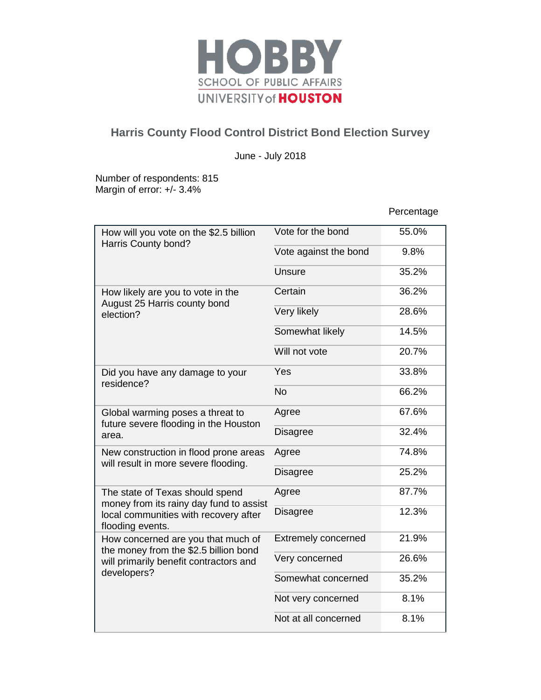

## **Harris County Flood Control District Bond Election Survey**

June - July 2018

Number of respondents: 815 Margin of error: +/- 3.4%

Percentage

| How will you vote on the \$2.5 billion<br>Harris County bond?                                                                           | Vote for the bond          | 55.0% |
|-----------------------------------------------------------------------------------------------------------------------------------------|----------------------------|-------|
|                                                                                                                                         | Vote against the bond      | 9.8%  |
|                                                                                                                                         | Unsure                     | 35.2% |
| How likely are you to vote in the<br>August 25 Harris county bond<br>election?                                                          | Certain                    | 36.2% |
|                                                                                                                                         | Very likely                | 28.6% |
|                                                                                                                                         | Somewhat likely            | 14.5% |
|                                                                                                                                         | Will not vote              | 20.7% |
| Did you have any damage to your<br>residence?                                                                                           | Yes                        | 33.8% |
|                                                                                                                                         | <b>No</b>                  | 66.2% |
| Global warming poses a threat to<br>future severe flooding in the Houston<br>area.                                                      | Agree                      | 67.6% |
|                                                                                                                                         | <b>Disagree</b>            | 32.4% |
| New construction in flood prone areas<br>will result in more severe flooding.                                                           | Agree                      | 74.8% |
|                                                                                                                                         | <b>Disagree</b>            | 25.2% |
| The state of Texas should spend<br>money from its rainy day fund to assist<br>local communities with recovery after<br>flooding events. | Agree                      | 87.7% |
|                                                                                                                                         | <b>Disagree</b>            | 12.3% |
| How concerned are you that much of<br>the money from the \$2.5 billion bond<br>will primarily benefit contractors and<br>developers?    | <b>Extremely concerned</b> | 21.9% |
|                                                                                                                                         | Very concerned             | 26.6% |
|                                                                                                                                         | Somewhat concerned         | 35.2% |
|                                                                                                                                         | Not very concerned         | 8.1%  |
|                                                                                                                                         | Not at all concerned       | 8.1%  |